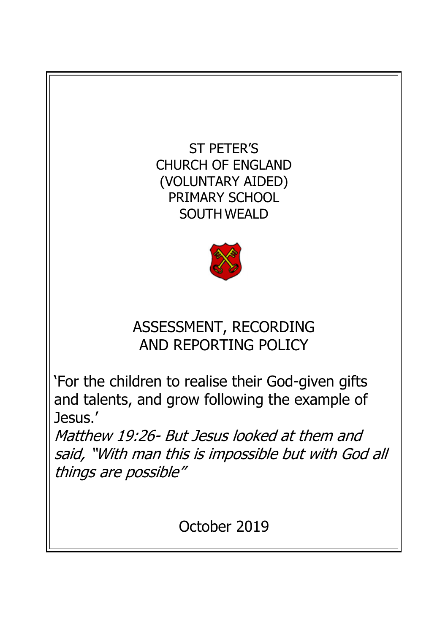ST PETER'S CHURCH OF ENGLAND (VOLUNTARY AIDED) PRIMARY SCHOOL SOUTH WEALD



# ASSESSMENT, RECORDING AND REPORTING POLICY

'For the children to realise their God-given gifts and talents, and grow following the example of Jesus.'

Matthew 19:26- But Jesus looked at them and said, "With man this is impossible but with God all things are possible"

October 2019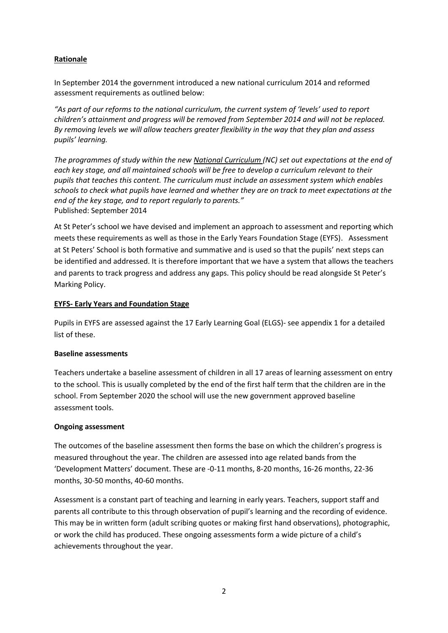# **Rationale**

In September 2014 the government introduced a new national curriculum 2014 and reformed assessment requirements as outlined below:

*"As part of our reforms to the national curriculum, the current system of 'levels' used to report children's attainment and progress will be removed from September 2014 and will not be replaced. By removing levels we will allow teachers greater flexibility in the way that they plan and assess pupils' learning.* 

*The programmes of study within the new National Curriculum (NC) set out expectations at the end of each key stage, and all maintained schools will be free to develop a curriculum relevant to their pupils that teaches this content. The curriculum must include an assessment system which enables schools to check what pupils have learned and whether they are on track to meet expectations at the end of the key stage, and to report regularly to parents."* Published: September 2014

At St Peter's school we have devised and implement an approach to assessment and reporting which meets these requirements as well as those in the Early Years Foundation Stage (EYFS). Assessment at St Peters' School is both formative and summative and is used so that the pupils' next steps can be identified and addressed. It is therefore important that we have a system that allows the teachers and parents to track progress and address any gaps. This policy should be read alongside St Peter's Marking Policy.

#### **EYFS- Early Years and Foundation Stage**

Pupils in EYFS are assessed against the 17 Early Learning Goal (ELGS)- see appendix 1 for a detailed list of these.

#### **Baseline assessments**

Teachers undertake a baseline assessment of children in all 17 areas of learning assessment on entry to the school. This is usually completed by the end of the first half term that the children are in the school. From September 2020 the school will use the new government approved baseline assessment tools.

#### **Ongoing assessment**

The outcomes of the baseline assessment then forms the base on which the children's progress is measured throughout the year. The children are assessed into age related bands from the 'Development Matters' document. These are -0-11 months, 8-20 months, 16-26 months, 22-36 months, 30-50 months, 40-60 months.

Assessment is a constant part of teaching and learning in early years. Teachers, support staff and parents all contribute to this through observation of pupil's learning and the recording of evidence. This may be in written form (adult scribing quotes or making first hand observations), photographic, or work the child has produced. These ongoing assessments form a wide picture of a child's achievements throughout the year.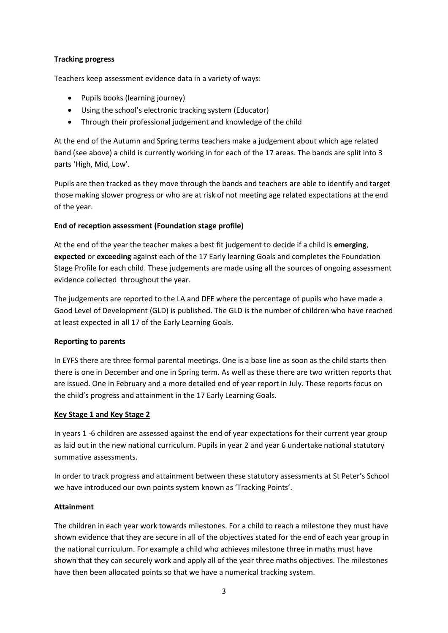# **Tracking progress**

Teachers keep assessment evidence data in a variety of ways:

- Pupils books (learning journey)
- Using the school's electronic tracking system (Educator)
- Through their professional judgement and knowledge of the child

At the end of the Autumn and Spring terms teachers make a judgement about which age related band (see above) a child is currently working in for each of the 17 areas. The bands are split into 3 parts 'High, Mid, Low'.

Pupils are then tracked as they move through the bands and teachers are able to identify and target those making slower progress or who are at risk of not meeting age related expectations at the end of the year.

# **End of reception assessment (Foundation stage profile)**

At the end of the year the teacher makes a best fit judgement to decide if a child is **emerging**, **expected** or **exceeding** against each of the 17 Early learning Goals and completes the Foundation Stage Profile for each child. These judgements are made using all the sources of ongoing assessment evidence collected throughout the year.

The judgements are reported to the LA and DFE where the percentage of pupils who have made a Good Level of Development (GLD) is published. The GLD is the number of children who have reached at least expected in all 17 of the Early Learning Goals.

#### **Reporting to parents**

In EYFS there are three formal parental meetings. One is a base line as soon as the child starts then there is one in December and one in Spring term. As well as these there are two written reports that are issued. One in February and a more detailed end of year report in July. These reports focus on the child's progress and attainment in the 17 Early Learning Goals.

# **Key Stage 1 and Key Stage 2**

In years 1 -6 children are assessed against the end of year expectations for their current year group as laid out in the new national curriculum. Pupils in year 2 and year 6 undertake national statutory summative assessments.

In order to track progress and attainment between these statutory assessments at St Peter's School we have introduced our own points system known as 'Tracking Points'.

#### **Attainment**

The children in each year work towards milestones. For a child to reach a milestone they must have shown evidence that they are secure in all of the objectives stated for the end of each year group in the national curriculum. For example a child who achieves milestone three in maths must have shown that they can securely work and apply all of the year three maths objectives. The milestones have then been allocated points so that we have a numerical tracking system.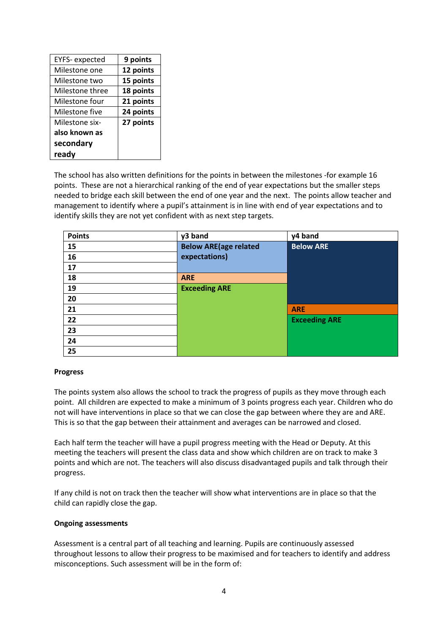| <b>EYFS-</b> expected | 9 points  |
|-----------------------|-----------|
| Milestone one         | 12 points |
| Milestone two         | 15 points |
| Milestone three       | 18 points |
| Milestone four        | 21 points |
| Milestone five        | 24 points |
| Milestone six-        | 27 points |
| also known as         |           |
| secondary             |           |
| ready                 |           |

The school has also written definitions for the points in between the milestones -for example 16 points. These are not a hierarchical ranking of the end of year expectations but the smaller steps needed to bridge each skill between the end of one year and the next. The points allow teacher and management to identify where a pupil's attainment is in line with end of year expectations and to identify skills they are not yet confident with as next step targets.

| <b>Points</b> | y3 band                      | y4 band              |
|---------------|------------------------------|----------------------|
| 15            | <b>Below ARE(age related</b> | <b>Below ARE</b>     |
| 16            | expectations)                |                      |
| 17            |                              |                      |
| 18            | <b>ARE</b>                   |                      |
| 19            | <b>Exceeding ARE</b>         |                      |
| 20            |                              |                      |
| 21            |                              | <b>ARE</b>           |
| 22            |                              | <b>Exceeding ARE</b> |
| 23            |                              |                      |
| 24            |                              |                      |
| 25            |                              |                      |

#### **Progress**

The points system also allows the school to track the progress of pupils as they move through each point. All children are expected to make a minimum of 3 points progress each year. Children who do not will have interventions in place so that we can close the gap between where they are and ARE. This is so that the gap between their attainment and averages can be narrowed and closed.

Each half term the teacher will have a pupil progress meeting with the Head or Deputy. At this meeting the teachers will present the class data and show which children are on track to make 3 points and which are not. The teachers will also discuss disadvantaged pupils and talk through their progress.

If any child is not on track then the teacher will show what interventions are in place so that the child can rapidly close the gap.

#### **Ongoing assessments**

Assessment is a central part of all teaching and learning. Pupils are continuously assessed throughout lessons to allow their progress to be maximised and for teachers to identify and address misconceptions. Such assessment will be in the form of: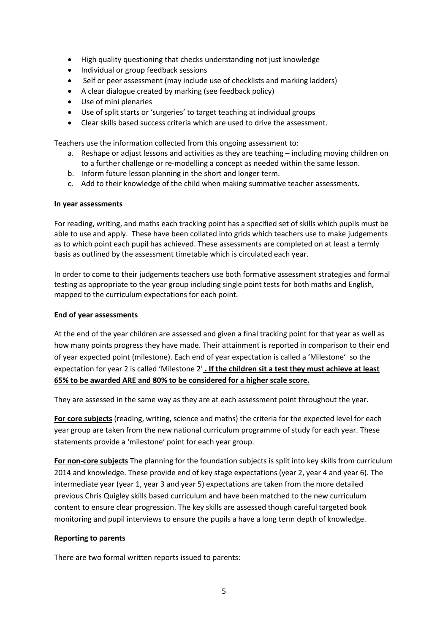- High quality questioning that checks understanding not just knowledge
- Individual or group feedback sessions
- Self or peer assessment (may include use of checklists and marking ladders)
- A clear dialogue created by marking (see feedback policy)
- Use of mini plenaries
- Use of split starts or 'surgeries' to target teaching at individual groups
- Clear skills based success criteria which are used to drive the assessment.

Teachers use the information collected from this ongoing assessment to:

- a. Reshape or adjust lessons and activities as they are teaching including moving children on to a further challenge or re-modelling a concept as needed within the same lesson.
- b. Inform future lesson planning in the short and longer term.
- c. Add to their knowledge of the child when making summative teacher assessments.

#### **In year assessments**

For reading, writing, and maths each tracking point has a specified set of skills which pupils must be able to use and apply. These have been collated into grids which teachers use to make judgements as to which point each pupil has achieved. These assessments are completed on at least a termly basis as outlined by the assessment timetable which is circulated each year.

In order to come to their judgements teachers use both formative assessment strategies and formal testing as appropriate to the year group including single point tests for both maths and English, mapped to the curriculum expectations for each point.

#### **End of year assessments**

At the end of the year children are assessed and given a final tracking point for that year as well as how many points progress they have made. Their attainment is reported in comparison to their end of year expected point (milestone). Each end of year expectation is called a 'Milestone' so the expectation for year 2 is called 'Milestone 2' **. If the children sit a test they must achieve at least 65% to be awarded ARE and 80% to be considered for a higher scale score.**

They are assessed in the same way as they are at each assessment point throughout the year.

**For core subjects** (reading, writing, science and maths) the criteria for the expected level for each year group are taken from the new national curriculum programme of study for each year. These statements provide a 'milestone' point for each year group.

**For non-core subjects** The planning for the foundation subjects is split into key skills from curriculum 2014 and knowledge. These provide end of key stage expectations (year 2, year 4 and year 6). The intermediate year (year 1, year 3 and year 5) expectations are taken from the more detailed previous Chris Quigley skills based curriculum and have been matched to the new curriculum content to ensure clear progression. The key skills are assessed though careful targeted book monitoring and pupil interviews to ensure the pupils a have a long term depth of knowledge.

#### **Reporting to parents**

There are two formal written reports issued to parents: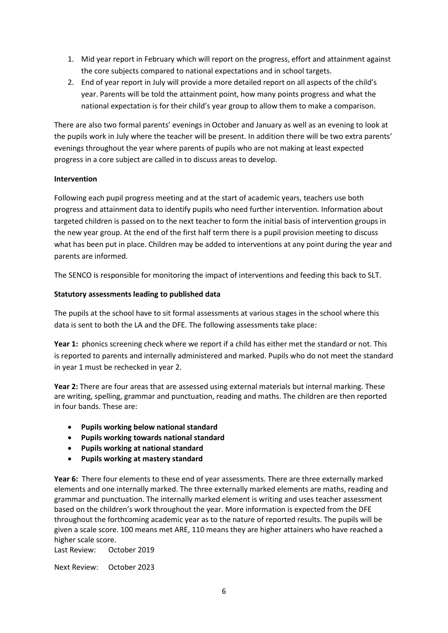- 1. Mid year report in February which will report on the progress, effort and attainment against the core subjects compared to national expectations and in school targets.
- 2. End of year report in July will provide a more detailed report on all aspects of the child's year. Parents will be told the attainment point, how many points progress and what the national expectation is for their child's year group to allow them to make a comparison.

There are also two formal parents' evenings in October and January as well as an evening to look at the pupils work in July where the teacher will be present. In addition there will be two extra parents' evenings throughout the year where parents of pupils who are not making at least expected progress in a core subject are called in to discuss areas to develop.

# **Intervention**

Following each pupil progress meeting and at the start of academic years, teachers use both progress and attainment data to identify pupils who need further intervention. Information about targeted children is passed on to the next teacher to form the initial basis of intervention groups in the new year group. At the end of the first half term there is a pupil provision meeting to discuss what has been put in place. Children may be added to interventions at any point during the year and parents are informed.

The SENCO is responsible for monitoring the impact of interventions and feeding this back to SLT.

# **Statutory assessments leading to published data**

The pupils at the school have to sit formal assessments at various stages in the school where this data is sent to both the LA and the DFE. The following assessments take place:

Year 1: phonics screening check where we report if a child has either met the standard or not. This is reported to parents and internally administered and marked. Pupils who do not meet the standard in year 1 must be rechecked in year 2.

**Year 2:** There are four areas that are assessed using external materials but internal marking. These are writing, spelling, grammar and punctuation, reading and maths. The children are then reported in four bands. These are:

- **Pupils working below national standard**
- **Pupils working towards national standard**
- **Pupils working at national standard**
- **Pupils working at mastery standard**

**Year 6:** There four elements to these end of year assessments. There are three externally marked elements and one internally marked. The three externally marked elements are maths, reading and grammar and punctuation. The internally marked element is writing and uses teacher assessment based on the children's work throughout the year. More information is expected from the DFE throughout the forthcoming academic year as to the nature of reported results. The pupils will be given a scale score. 100 means met ARE, 110 means they are higher attainers who have reached a higher scale score.

Last Review: October 2019

Next Review: October 2023